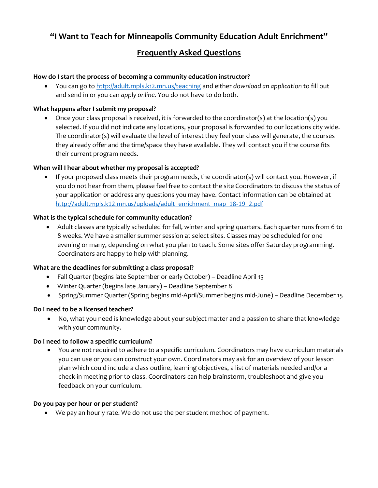# **"I Want to Teach for Minneapolis Community Education Adult Enrichment"**

## **Frequently Asked Questions**

## **How do I start the process of becoming a community education instructor?**

 You can go to <http://adult.mpls.k12.mn.us/teaching> and either *download an application* to fill out and send in or you can *apply online.* You do not have to do both.

## **What happens after I submit my proposal?**

 Once your class proposal is received, it is forwarded to the coordinator(s) at the location(s) you selected. If you did not indicate any locations, your proposal is forwarded to our locations city wide. The coordinator(s) will evaluate the level of interest they feel your class will generate, the courses they already offer and the time/space they have available. They will contact you if the course fits their current program needs.

## **When will I hear about whether my proposal is accepted?**

 If your proposed class meets their program needs, the coordinator(s) will contact you. However, if you do not hear from them, please feel free to contact the site Coordinators to discuss the status of your application or address any questions you may have. Contact information can be obtained at [http://adult.mpls.k12.mn.us/uploads/adult\\_enrichment\\_map\\_18-19\\_2.pdf](http://adult.mpls.k12.mn.us/uploads/adult_enrichment_map_18-19_2.pdf)

## **What is the typical schedule for community education?**

 Adult classes are typically scheduled for fall, winter and spring quarters. Each quarter runs from 6 to 8 weeks. We have a smaller summer session at select sites. Classes may be scheduled for one evening or many, depending on what you plan to teach. Some sites offer Saturday programming. Coordinators are happy to help with planning.

## **What are the deadlines for submitting a class proposal?**

- Fall Quarter (begins late September or early October) Deadline April 15
- Winter Quarter (begins late January) Deadline September 8
- Spring/Summer Quarter (Spring begins mid-April/Summer begins mid-June) Deadline December 15

#### **Do I need to be a licensed teacher?**

 No, what you need is knowledge about your subject matter and a passion to share that knowledge with your community.

#### **Do I need to follow a specific curriculum?**

 You are not required to adhere to a specific curriculum. Coordinators may have curriculum materials you can use or you can construct your own. Coordinators may ask for an overview of your lesson plan which could include a class outline, learning objectives, a list of materials needed and/or a check-in meeting prior to class. Coordinators can help brainstorm, troubleshoot and give you feedback on your curriculum.

#### **Do you pay per hour or per student?**

We pay an hourly rate. We do not use the per student method of payment.